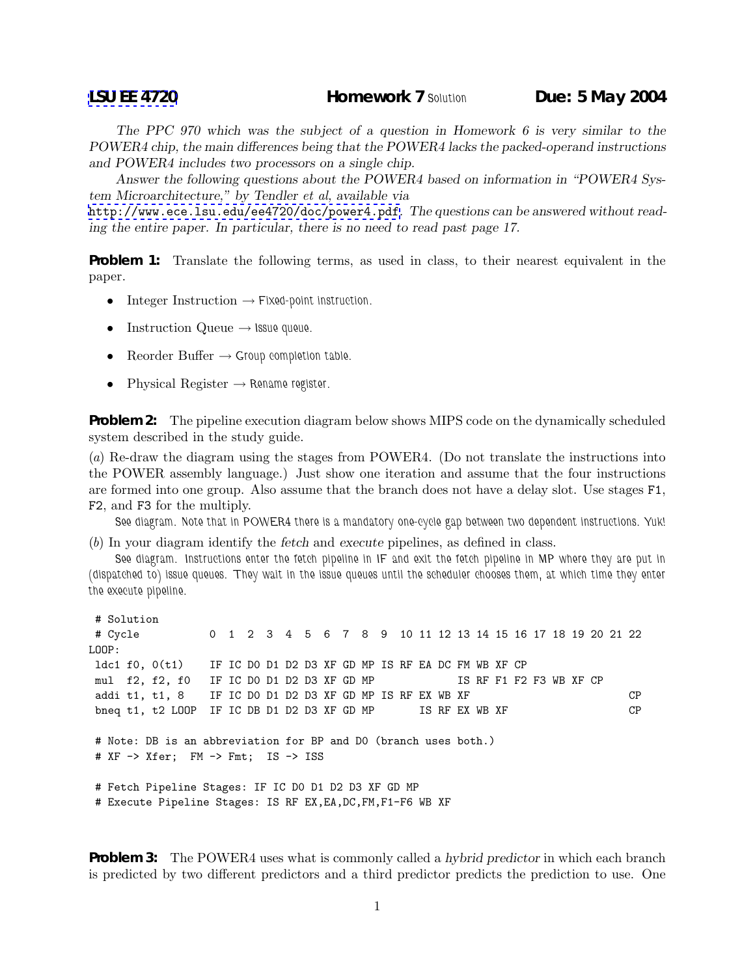*The PPC 970 which was the subject of a question in Homework 6 is very similar to the POWER4 chip, the main differences being that the POWER4 lacks the packed-operand instructions and POWER4 includes two processors on a single chip.*

*Answer the following questions about the POWER4 based on information in "POWER4 System Microarchitecture," by Tendler et al, available via*

<http://www.ece.lsu.edu/ee4720/doc/power4.pdf>*. The questions can be answered without reading the entire paper. In particular, there is no need to read past page 17.*

**Problem 1:** Translate the following terms, as used in class, to their nearest equivalent in the paper.

- Integer Instruction → *Fixed-point instruction.*
- Instruction Queue → *Issue queue.*
- $\text{Reorder Buffer} \rightarrow \text{Group completion table}.$
- Physical Register → *Rename register.*

**Problem 2:** The pipeline execution diagram below shows MIPS code on the dynamically scheduled system described in the study guide.

(*a*) Re-draw the diagram using the stages from POWER4. (Do not translate the instructions into the POWER assembly language.) Just show one iteration and assume that the four instructions are formed into one group. Also assume that the branch does not have a delay slot. Use stages F1, F2, and F3 for the multiply.

*See diagram. Note that in POWER4 there is a mandatory one-cycle gap between two dependent instructions. Yuk!*

(*b*) In your diagram identify the *fetch* and *execute* pipelines, as defined in class.

*See diagram. Instructions enter the fetch pipeline in IF and exit the fetch pipeline in MP where they are put in (dispatched to) issue queues. They wait in the issue queues until the scheduler chooses them, at which time they enter the execute pipeline.*

```
# Solution
# Cycle 0 1 2 3 4 5 6 7 8 9 10 11 12 13 14 15 16 17 18 19 20 21 22
LOOP:
ldc1 f0, 0(t1) IF IC D0 D1 D2 D3 XF GD MP IS RF EA DC FM WB XF CP
mul f2, f2, f0 IF IC D0 D1 D2 D3 XF GD MP IS RF F1 F2 F3 WB XF CP
addi t1, t1, 8 IF IC DO D1 D2 D3 XF GD MP IS RF EX WB XF CP
bneq t1, t2 LOOP IF IC DB D1 D2 D3 XF GD MP IS RF EX WB XF CP
# Note: DB is an abbreviation for BP and D0 (branch uses both.)
# XF -> Xfer; FM -> Fmt; IS -> ISS
# Fetch Pipeline Stages: IF IC D0 D1 D2 D3 XF GD MP
# Execute Pipeline Stages: IS RF EX,EA,DC,FM,F1-F6 WB XF
```
**Problem 3:** The POWER4 uses what is commonly called a *hybrid predictor* in which each branch is predicted by two different predictors and a third predictor predicts the prediction to use. One